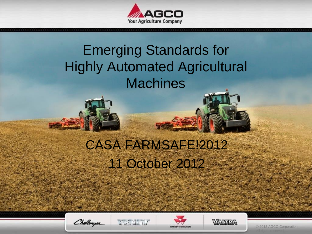

## Emerging Standards for **Highly Automated Agricultural Machines**

## CASA FARMSAFE!2012 11 October 2012

Challenger





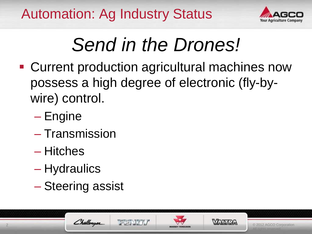

# *Send in the Drones!*

- **Current production agricultural machines now** possess a high degree of electronic (fly-bywire) control.
	- Engine
	- Transmission
	- Hitches
	- Hydraulics
	- Steering assist

Challenger



2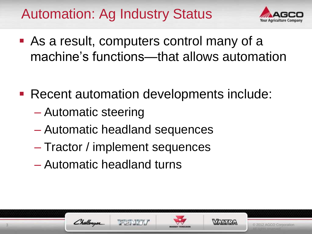

© 2012 AGCO Corporation

- As a result, computers control many of a machine's functions—that allows automation
- Recent automation developments include:
	- Automatic steering

Challenger

- Automatic headland sequences
- Tractor / implement sequences
- Automatic headland turns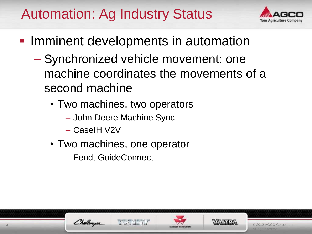

- **Imminent developments in automation** 
	- Synchronized vehicle movement: one machine coordinates the movements of a second machine
		- Two machines, two operators
			- John Deere Machine Sync
			- CaseIH V2V
		- Two machines, one operator
			- Fendt GuideConnect



4





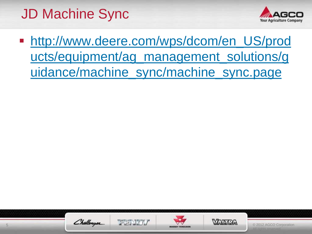## JD Machine Sync



http://www.deere.com/wps/dcom/en\_US/prod [ucts/equipment/ag\\_management\\_solutions/g](http://www.deere.com/wps/dcom/en_US/products/equipment/ag_management_solutions/guidance/machine_sync/machine_sync.page) uidance/machine\_sync/machine\_sync.page







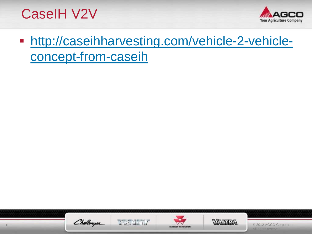CaseIH V2V



**[http://caseihharvesting.com/vehicle-2-vehicle](http://caseihharvesting.com/vehicle-2-vehicle-concept-from-caseih)**concept-from-caseih







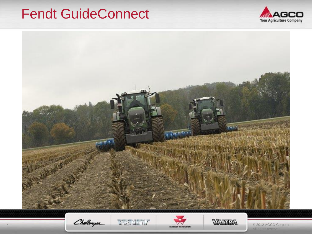#### Fendt GuideConnect





Challenger

7

FENDY





© 2012 AGCO Corporation hts reserved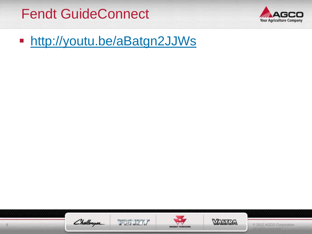Fendt GuideConnect



**<http://youtu.be/aBatgn2JJWs>** 



8





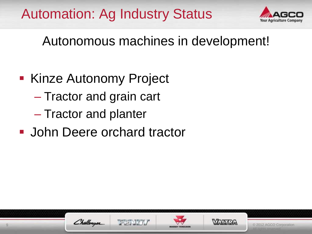

Autonomous machines in development!

- Kinze Autonomy Project
	- Tractor and grain cart
	- Tractor and planter
- **John Deere orchard tractor**







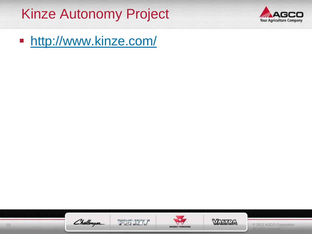#### Kinze Autonomy Project



**<http://www.kinze.com/>** 









© 2012 AGCO Corporation All rights reserved.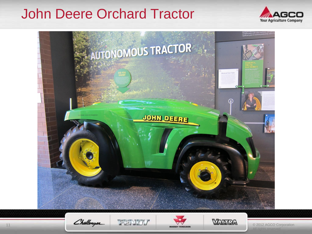#### John Deere Orchard Tractor





Challenger





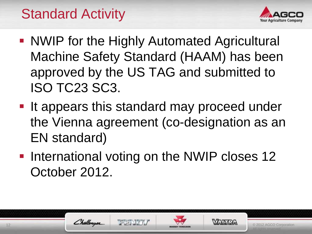## Standard Activity

Challenger



- **NWIP for the Highly Automated Agricultural** Machine Safety Standard (HAAM) has been approved by the US TAG and submitted to ISO TC23 SC3.
- **If appears this standard may proceed under** the Vienna agreement (co-designation as an EN standard)
- **International voting on the NWIP closes 12** October 2012.

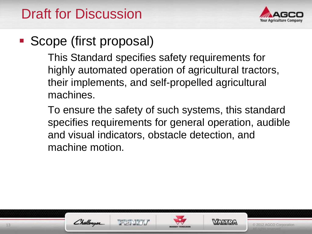

#### ■ Scope (first proposal)

This Standard specifies safety requirements for highly automated operation of agricultural tractors, their implements, and self-propelled agricultural machines.

To ensure the safety of such systems, this standard specifies requirements for general operation, audible and visual indicators, obstacle detection, and machine motion.





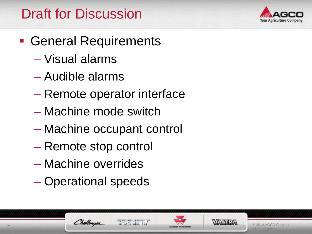

- **General Requirements** 
	- Visual alarms
	- Audible alarms
	- Remote operator interface
	- Machine mode switch
	- Machine occupant control
	- Remote stop control
	- Machine overrides
	- Operational speeds

Challenger

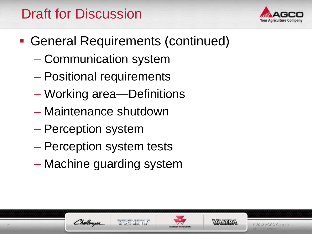

- General Requirements (continued)
	- Communication system
	- Positional requirements
	- Working area—Definitions
	- Maintenance shutdown
	- Perception system
	- Perception system tests
	- Machine guarding system





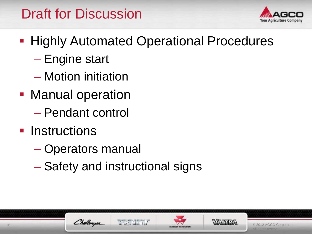

- **Highly Automated Operational Procedures** 
	- Engine start
	- Motion initiation
- **Manual operation** – Pendant control
- **Instructions** 
	- Operators manual
	- Safety and instructional signs





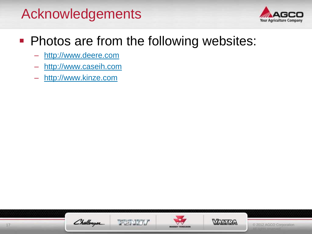#### Acknowledgements



#### **Photos are from the following websites:**

- [http://www.deere.com](http://www.deere.com/)
- [http://www.caseih.com](http://www.caseih.com/)
- [http://www.kinze.com](http://www.kinze.com/)